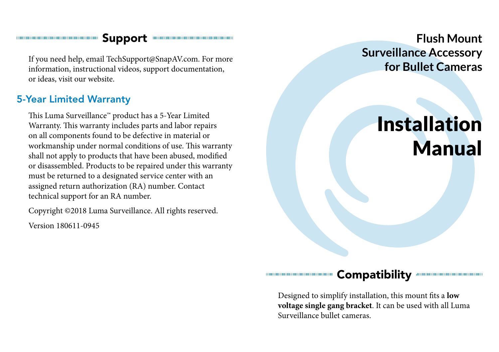#### **Support Communication**

If you need help, email TechSupport@SnapAV.com. For more information, instructional videos, support documentation, or ideas, visit our website.

#### 5-Year Limited Warranty

This Luma Surveillance™ product has a 5-Year Limited Warranty. This warranty includes parts and labor repairs on all components found to be defective in material or workmanship under normal conditions of use. This warranty shall not apply to products that have been abused, modified or disassembled. Products to be repaired under this warranty must be returned to a designated service center with an assigned return authorization (RA) number. Contact technical support for an RA number.

Copyright ©2018 Luma Surveillance. All rights reserved.

Version 180611-0945

**Flush Mount Surveillance Accessory for Bullet Cameras**

# Installation Manual

#### **Compatibility**

Designed to simplify installation, this mount fits a **low voltage single gang bracket**. It can be used with all Luma Surveillance bullet cameras.